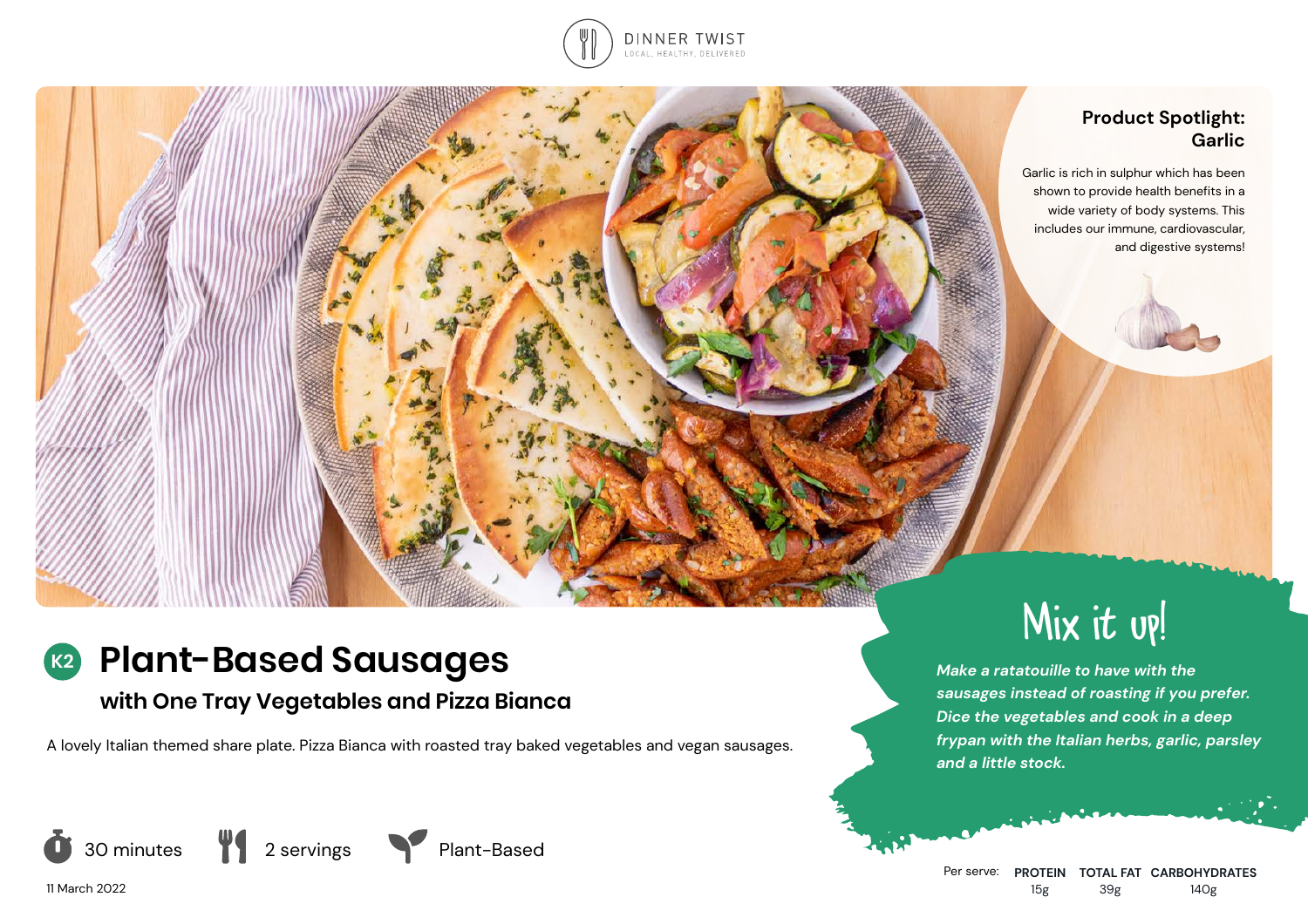

## **Product Spotlight: Garlic**

Garlic is rich in sulphur which has been shown to provide health benefits in a wide variety of body systems. This includes our immune, cardiovascular, and digestive systems!

### **Plant-Based Sausages K2**

# **with One Tray Vegetables and Pizza Bianca**

A lovely Italian themed share plate. Pizza Bianca with roasted tray baked vegetables and vegan sausages.



11 March 2022





Mix it up!

*Make a ratatouille to have with the sausages instead of roasting if you prefer. Dice the vegetables and cook in a deep frypan with the Italian herbs, garlic, parsley and a little stock.*